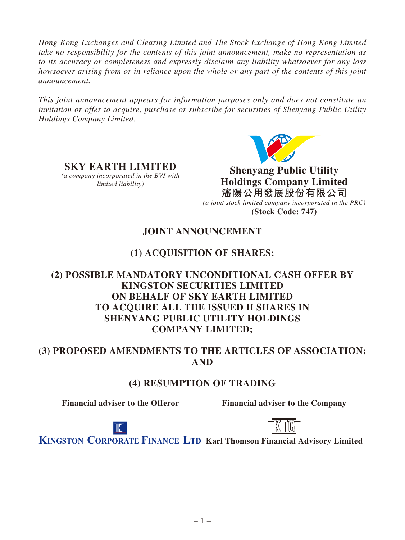*Hong Kong Exchanges and Clearing Limited and The Stock Exchange of Hong Kong Limited take no responsibility for the contents of this joint announcement, make no representation as to its accuracy or completeness and expressly disclaim any liability whatsoever for any loss howsoever arising from or in reliance upon the whole or any part of the contents of this joint announcement.*

*This joint announcement appears for information purposes only and does not constitute an invitation or offer to acquire, purchase or subscribe for securities of Shenyang Public Utility Holdings Company Limited.*



**Shenyang Public Utility Holdings Company Limited 瀋陽公用發展股份有限公司** *(a joint stock limited company incorporated in the PRC)*  **(Stock Code: 747)**

# **JOINT ANNOUNCEMENT**

# **(1) ACQUISITION OF SHARES;**

## **(2) POSSIBLE MANDATORY UNCONDITIONAL CASH OFFER BY KINGSTON SECURITIES LIMITED ON BEHALF OF SKY EARTH LIMITED TO ACQUIRE ALL THE ISSUED H SHARES IN SHENYANG PUBLIC UTILITY HOLDINGS COMPANY LIMITED;**

## **(3) PROPOSED AMENDMENTS TO THE ARTICLES OF ASSOCIATION; AND**

## **(4) RESUMPTION OF TRADING**

**SKY EARTH LIMITED**  *(a company incorporated in the BVI with limited liability)*

**Financial adviser to the Offeror Financial adviser to the Company**





**KINGSTON CORPORATE FINANCE LTD Karl Thomson Financial Advisory Limited**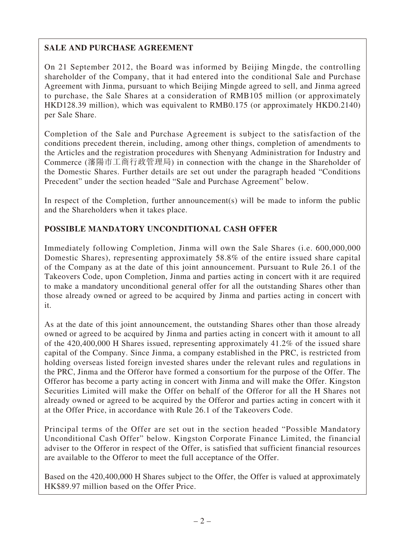## **SALE AND PURCHASE AGREEMENT**

On 21 September 2012, the Board was informed by Beijing Mingde, the controlling shareholder of the Company, that it had entered into the conditional Sale and Purchase Agreement with Jinma, pursuant to which Beijing Mingde agreed to sell, and Jinma agreed to purchase, the Sale Shares at a consideration of RMB105 million (or approximately HKD128.39 million), which was equivalent to RMB0.175 (or approximately HKD0.2140) per Sale Share.

Completion of the Sale and Purchase Agreement is subject to the satisfaction of the conditions precedent therein, including, among other things, completion of amendments to the Articles and the registration procedures with Shenyang Administration for Industry and Commerce (瀋陽市工商行政管理局) in connection with the change in the Shareholder of the Domestic Shares. Further details are set out under the paragraph headed "Conditions Precedent" under the section headed "Sale and Purchase Agreement" below.

In respect of the Completion, further announcement(s) will be made to inform the public and the Shareholders when it takes place.

## **POSSIBLE MANDATORY UNCONDITIONAL CASH OFFER**

Immediately following Completion, Jinma will own the Sale Shares (i.e. 600,000,000 Domestic Shares), representing approximately 58.8% of the entire issued share capital of the Company as at the date of this joint announcement. Pursuant to Rule 26.1 of the Takeovers Code, upon Completion, Jinma and parties acting in concert with it are required to make a mandatory unconditional general offer for all the outstanding Shares other than those already owned or agreed to be acquired by Jinma and parties acting in concert with it.

As at the date of this joint announcement, the outstanding Shares other than those already owned or agreed to be acquired by Jinma and parties acting in concert with it amount to all of the 420,400,000 H Shares issued, representing approximately 41.2% of the issued share capital of the Company. Since Jinma, a company established in the PRC, is restricted from holding overseas listed foreign invested shares under the relevant rules and regulations in the PRC, Jinma and the Offeror have formed a consortium for the purpose of the Offer. The Offeror has become a party acting in concert with Jinma and will make the Offer. Kingston Securities Limited will make the Offer on behalf of the Offeror for all the H Shares not already owned or agreed to be acquired by the Offeror and parties acting in concert with it at the Offer Price, in accordance with Rule 26.1 of the Takeovers Code.

Principal terms of the Offer are set out in the section headed "Possible Mandatory Unconditional Cash Offer" below. Kingston Corporate Finance Limited, the financial adviser to the Offeror in respect of the Offer, is satisfied that sufficient financial resources are available to the Offeror to meet the full acceptance of the Offer.

Based on the 420,400,000 H Shares subject to the Offer, the Offer is valued at approximately HK\$89.97 million based on the Offer Price.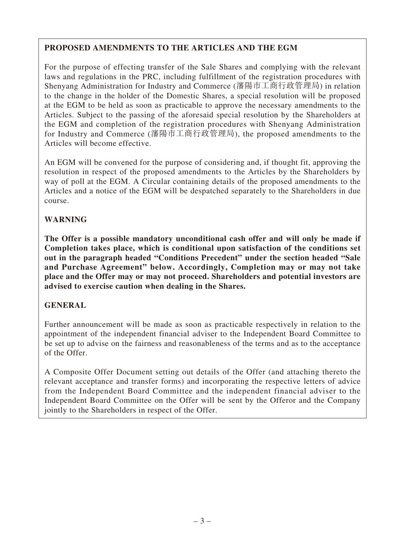## **PROPOSED AMENDMENTS TO THE ARTICLES AND THE EGM**

For the purpose of effecting transfer of the Sale Shares and complying with the relevant laws and regulations in the PRC, including fulfillment of the registration procedures with Shenyang Administration for Industry and Commerce (瀋陽市工商行政管理局) in relation to the change in the holder of the Domestic Shares, a special resolution will be proposed at the EGM to be held as soon as practicable to approve the necessary amendments to the Articles. Subject to the passing of the aforesaid special resolution by the Shareholders at the EGM and completion of the registration procedures with Shenyang Administration for Industry and Commerce (瀋陽市工商行政管理局), the proposed amendments to the Articles will become effective.

An EGM will be convened for the purpose of considering and, if thought fit, approving the resolution in respect of the proposed amendments to the Articles by the Shareholders by way of poll at the EGM. A Circular containing details of the proposed amendments to the Articles and a notice of the EGM will be despatched separately to the Shareholders in due course.

## **WARNING**

**The Offer is a possible mandatory unconditional cash offer and will only be made if Completion takes place, which is conditional upon satisfaction of the conditions set out in the paragraph headed "Conditions Precedent" under the section headed "Sale and Purchase Agreement" below. Accordingly, Completion may or may not take place and the Offer may or may not proceed. Shareholders and potential investors are advised to exercise caution when dealing in the Shares.**

## **GENERAL**

Further announcement will be made as soon as practicable respectively in relation to the appointment of the independent financial adviser to the Independent Board Committee to be set up to advise on the fairness and reasonableness of the terms and as to the acceptance of the Offer.

A Composite Offer Document setting out details of the Offer (and attaching thereto the relevant acceptance and transfer forms) and incorporating the respective letters of advice from the Independent Board Committee and the independent financial adviser to the Independent Board Committee on the Offer will be sent by the Offeror and the Company jointly to the Shareholders in respect of the Offer.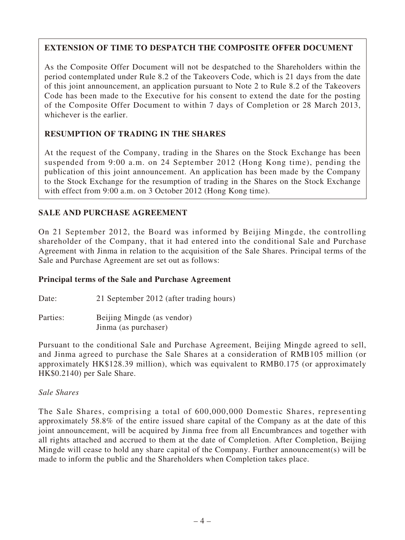## **EXTENSION OF TIME TO DESPATCH THE COMPOSITE OFFER DOCUMENT**

As the Composite Offer Document will not be despatched to the Shareholders within the period contemplated under Rule 8.2 of the Takeovers Code, which is 21 days from the date of this joint announcement, an application pursuant to Note 2 to Rule 8.2 of the Takeovers Code has been made to the Executive for his consent to extend the date for the posting of the Composite Offer Document to within 7 days of Completion or 28 March 2013, whichever is the earlier.

## **RESUMPTION OF TRADING IN THE SHARES**

At the request of the Company, trading in the Shares on the Stock Exchange has been suspended from 9:00 a.m. on 24 September 2012 (Hong Kong time), pending the publication of this joint announcement. An application has been made by the Company to the Stock Exchange for the resumption of trading in the Shares on the Stock Exchange with effect from 9:00 a.m. on 3 October 2012 (Hong Kong time).

## **SALE AND PURCHASE AGREEMENT**

On 21 September 2012, the Board was informed by Beijing Mingde, the controlling shareholder of the Company, that it had entered into the conditional Sale and Purchase Agreement with Jinma in relation to the acquisition of the Sale Shares. Principal terms of the Sale and Purchase Agreement are set out as follows:

## **Principal terms of the Sale and Purchase Agreement**

- Date: 21 September 2012 (after trading hours)
- Parties: Beijing Mingde (as vendor) Jinma (as purchaser)

Pursuant to the conditional Sale and Purchase Agreement, Beijing Mingde agreed to sell, and Jinma agreed to purchase the Sale Shares at a consideration of RMB105 million (or approximately HK\$128.39 million), which was equivalent to RMB0.175 (or approximately HK\$0.2140) per Sale Share.

## *Sale Shares*

The Sale Shares, comprising a total of 600,000,000 Domestic Shares, representing approximately 58.8% of the entire issued share capital of the Company as at the date of this joint announcement, will be acquired by Jinma free from all Encumbrances and together with all rights attached and accrued to them at the date of Completion. After Completion, Beijing Mingde will cease to hold any share capital of the Company. Further announcement(s) will be made to inform the public and the Shareholders when Completion takes place.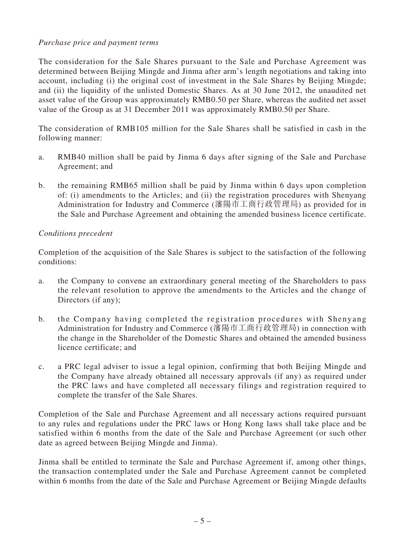## *Purchase price and payment terms*

The consideration for the Sale Shares pursuant to the Sale and Purchase Agreement was determined between Beijing Mingde and Jinma after arm's length negotiations and taking into account, including (i) the original cost of investment in the Sale Shares by Beijing Mingde; and (ii) the liquidity of the unlisted Domestic Shares. As at 30 June 2012, the unaudited net asset value of the Group was approximately RMB0.50 per Share, whereas the audited net asset value of the Group as at 31 December 2011 was approximately RMB0.50 per Share.

The consideration of RMB105 million for the Sale Shares shall be satisfied in cash in the following manner:

- a. RMB40 million shall be paid by Jinma 6 days after signing of the Sale and Purchase Agreement; and
- b. the remaining RMB65 million shall be paid by Jinma within 6 days upon completion of: (i) amendments to the Articles; and (ii) the registration procedures with Shenyang Administration for Industry and Commerce (瀋陽市工商行政管理局) as provided for in the Sale and Purchase Agreement and obtaining the amended business licence certificate.

## *Conditions precedent*

Completion of the acquisition of the Sale Shares is subject to the satisfaction of the following conditions:

- a. the Company to convene an extraordinary general meeting of the Shareholders to pass the relevant resolution to approve the amendments to the Articles and the change of Directors (if any);
- b. the Company having completed the registration procedures with Shenyang Administration for Industry and Commerce (瀋陽市工商行政管理局) in connection with the change in the Shareholder of the Domestic Shares and obtained the amended business licence certificate; and
- c. a PRC legal adviser to issue a legal opinion, confirming that both Beijing Mingde and the Company have already obtained all necessary approvals (if any) as required under the PRC laws and have completed all necessary filings and registration required to complete the transfer of the Sale Shares.

Completion of the Sale and Purchase Agreement and all necessary actions required pursuant to any rules and regulations under the PRC laws or Hong Kong laws shall take place and be satisfied within 6 months from the date of the Sale and Purchase Agreement (or such other date as agreed between Beijing Mingde and Jinma).

Jinma shall be entitled to terminate the Sale and Purchase Agreement if, among other things, the transaction contemplated under the Sale and Purchase Agreement cannot be completed within 6 months from the date of the Sale and Purchase Agreement or Beijing Mingde defaults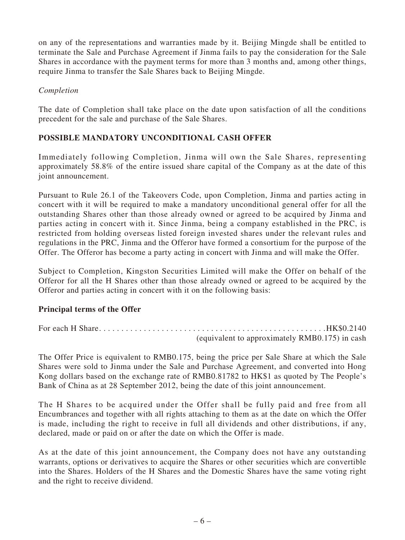on any of the representations and warranties made by it. Beijing Mingde shall be entitled to terminate the Sale and Purchase Agreement if Jinma fails to pay the consideration for the Sale Shares in accordance with the payment terms for more than 3 months and, among other things, require Jinma to transfer the Sale Shares back to Beijing Mingde.

#### *Completion*

The date of Completion shall take place on the date upon satisfaction of all the conditions precedent for the sale and purchase of the Sale Shares.

## **POSSIBLE MANDATORY UNCONDITIONAL CASH OFFER**

Immediately following Completion, Jinma will own the Sale Shares, representing approximately 58.8% of the entire issued share capital of the Company as at the date of this joint announcement.

Pursuant to Rule 26.1 of the Takeovers Code, upon Completion, Jinma and parties acting in concert with it will be required to make a mandatory unconditional general offer for all the outstanding Shares other than those already owned or agreed to be acquired by Jinma and parties acting in concert with it. Since Jinma, being a company established in the PRC, is restricted from holding overseas listed foreign invested shares under the relevant rules and regulations in the PRC, Jinma and the Offeror have formed a consortium for the purpose of the Offer. The Offeror has become a party acting in concert with Jinma and will make the Offer.

Subject to Completion, Kingston Securities Limited will make the Offer on behalf of the Offeror for all the H Shares other than those already owned or agreed to be acquired by the Offeror and parties acting in concert with it on the following basis:

## **Principal terms of the Offer**

For each H Share. . . . . . . . . . . . . . . . . . . . . . . . . . . . . . . . . . . . . . . . . . . . . . . . . . .HK\$0.2140 (equivalent to approximately RMB0.175) in cash

The Offer Price is equivalent to RMB0.175, being the price per Sale Share at which the Sale Shares were sold to Jinma under the Sale and Purchase Agreement, and converted into Hong Kong dollars based on the exchange rate of RMB0.81782 to HK\$1 as quoted by The People's Bank of China as at 28 September 2012, being the date of this joint announcement.

The H Shares to be acquired under the Offer shall be fully paid and free from all Encumbrances and together with all rights attaching to them as at the date on which the Offer is made, including the right to receive in full all dividends and other distributions, if any, declared, made or paid on or after the date on which the Offer is made.

As at the date of this joint announcement, the Company does not have any outstanding warrants, options or derivatives to acquire the Shares or other securities which are convertible into the Shares. Holders of the H Shares and the Domestic Shares have the same voting right and the right to receive dividend.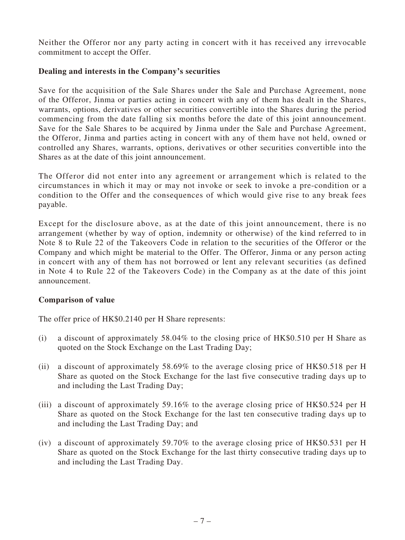Neither the Offeror nor any party acting in concert with it has received any irrevocable commitment to accept the Offer.

#### **Dealing and interests in the Company's securities**

Save for the acquisition of the Sale Shares under the Sale and Purchase Agreement, none of the Offeror, Jinma or parties acting in concert with any of them has dealt in the Shares, warrants, options, derivatives or other securities convertible into the Shares during the period commencing from the date falling six months before the date of this joint announcement. Save for the Sale Shares to be acquired by Jinma under the Sale and Purchase Agreement, the Offeror, Jinma and parties acting in concert with any of them have not held, owned or controlled any Shares, warrants, options, derivatives or other securities convertible into the Shares as at the date of this joint announcement.

The Offeror did not enter into any agreement or arrangement which is related to the circumstances in which it may or may not invoke or seek to invoke a pre-condition or a condition to the Offer and the consequences of which would give rise to any break fees payable.

Except for the disclosure above, as at the date of this joint announcement, there is no arrangement (whether by way of option, indemnity or otherwise) of the kind referred to in Note 8 to Rule 22 of the Takeovers Code in relation to the securities of the Offeror or the Company and which might be material to the Offer. The Offeror, Jinma or any person acting in concert with any of them has not borrowed or lent any relevant securities (as defined in Note 4 to Rule 22 of the Takeovers Code) in the Company as at the date of this joint announcement.

## **Comparison of value**

The offer price of HK\$0.2140 per H Share represents:

- (i) a discount of approximately 58.04% to the closing price of HK\$0.510 per H Share as quoted on the Stock Exchange on the Last Trading Day;
- (ii) a discount of approximately 58.69% to the average closing price of HK\$0.518 per H Share as quoted on the Stock Exchange for the last five consecutive trading days up to and including the Last Trading Day;
- (iii) a discount of approximately 59.16% to the average closing price of HK\$0.524 per H Share as quoted on the Stock Exchange for the last ten consecutive trading days up to and including the Last Trading Day; and
- (iv) a discount of approximately 59.70% to the average closing price of HK\$0.531 per H Share as quoted on the Stock Exchange for the last thirty consecutive trading days up to and including the Last Trading Day.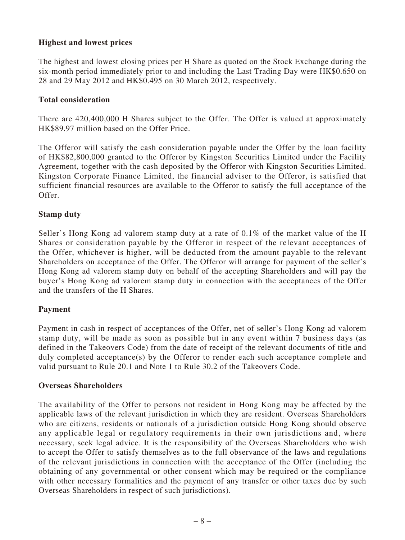## **Highest and lowest prices**

The highest and lowest closing prices per H Share as quoted on the Stock Exchange during the six-month period immediately prior to and including the Last Trading Day were HK\$0.650 on 28 and 29 May 2012 and HK\$0.495 on 30 March 2012, respectively.

### **Total consideration**

There are 420,400,000 H Shares subject to the Offer. The Offer is valued at approximately HK\$89.97 million based on the Offer Price.

The Offeror will satisfy the cash consideration payable under the Offer by the loan facility of HK\$82,800,000 granted to the Offeror by Kingston Securities Limited under the Facility Agreement, together with the cash deposited by the Offeror with Kingston Securities Limited. Kingston Corporate Finance Limited, the financial adviser to the Offeror, is satisfied that sufficient financial resources are available to the Offeror to satisfy the full acceptance of the Offer.

#### **Stamp duty**

Seller's Hong Kong ad valorem stamp duty at a rate of 0.1% of the market value of the H Shares or consideration payable by the Offeror in respect of the relevant acceptances of the Offer, whichever is higher, will be deducted from the amount payable to the relevant Shareholders on acceptance of the Offer. The Offeror will arrange for payment of the seller's Hong Kong ad valorem stamp duty on behalf of the accepting Shareholders and will pay the buyer's Hong Kong ad valorem stamp duty in connection with the acceptances of the Offer and the transfers of the H Shares.

#### **Payment**

Payment in cash in respect of acceptances of the Offer, net of seller's Hong Kong ad valorem stamp duty, will be made as soon as possible but in any event within 7 business days (as defined in the Takeovers Code) from the date of receipt of the relevant documents of title and duly completed acceptance(s) by the Offeror to render each such acceptance complete and valid pursuant to Rule 20.1 and Note 1 to Rule 30.2 of the Takeovers Code.

#### **Overseas Shareholders**

The availability of the Offer to persons not resident in Hong Kong may be affected by the applicable laws of the relevant jurisdiction in which they are resident. Overseas Shareholders who are citizens, residents or nationals of a jurisdiction outside Hong Kong should observe any applicable legal or regulatory requirements in their own jurisdictions and, where necessary, seek legal advice. It is the responsibility of the Overseas Shareholders who wish to accept the Offer to satisfy themselves as to the full observance of the laws and regulations of the relevant jurisdictions in connection with the acceptance of the Offer (including the obtaining of any governmental or other consent which may be required or the compliance with other necessary formalities and the payment of any transfer or other taxes due by such Overseas Shareholders in respect of such jurisdictions).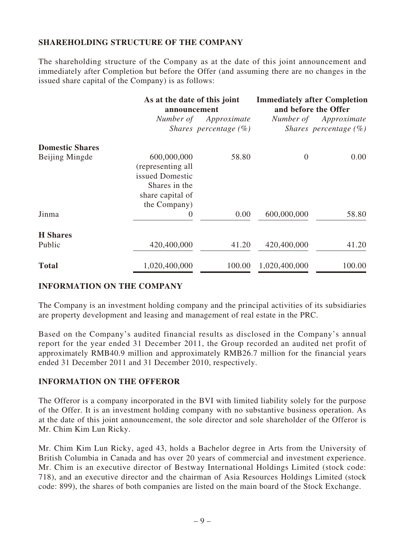## **SHAREHOLDING STRUCTURE OF THE COMPANY**

The shareholding structure of the Company as at the date of this joint announcement and immediately after Completion but before the Offer (and assuming there are no changes in the issued share capital of the Company) is as follows:

|                        |                                                                                                          | As at the date of this joint<br>announcement |                | <b>Immediately after Completion</b><br>and before the Offer |  |
|------------------------|----------------------------------------------------------------------------------------------------------|----------------------------------------------|----------------|-------------------------------------------------------------|--|
|                        | Number of                                                                                                | Approximate<br>Shares percentage $(\%)$      | Number of      | Approximate<br>Shares percentage $(\%)$                     |  |
| <b>Domestic Shares</b> |                                                                                                          |                                              |                |                                                             |  |
| Beijing Mingde         | 600,000,000<br>(representing all<br>issued Domestic<br>Shares in the<br>share capital of<br>the Company) | 58.80                                        | $\overline{0}$ | 0.00                                                        |  |
| Jinma                  | $\boldsymbol{0}$                                                                                         | 0.00                                         | 600,000,000    | 58.80                                                       |  |
| <b>H</b> Shares        |                                                                                                          |                                              |                |                                                             |  |
| Public                 | 420,400,000                                                                                              | 41.20                                        | 420,400,000    | 41.20                                                       |  |
| <b>Total</b>           | 1,020,400,000                                                                                            | 100.00                                       | 1,020,400,000  | 100.00                                                      |  |

## **INFORMATION ON THE COMPANY**

The Company is an investment holding company and the principal activities of its subsidiaries are property development and leasing and management of real estate in the PRC.

Based on the Company's audited financial results as disclosed in the Company's annual report for the year ended 31 December 2011, the Group recorded an audited net profit of approximately RMB40.9 million and approximately RMB26.7 million for the financial years ended 31 December 2011 and 31 December 2010, respectively.

#### **INFORMATION ON THE OFFEROR**

The Offeror is a company incorporated in the BVI with limited liability solely for the purpose of the Offer. It is an investment holding company with no substantive business operation. As at the date of this joint announcement, the sole director and sole shareholder of the Offeror is Mr. Chim Kim Lun Ricky.

Mr. Chim Kim Lun Ricky, aged 43, holds a Bachelor degree in Arts from the University of British Columbia in Canada and has over 20 years of commercial and investment experience. Mr. Chim is an executive director of Bestway International Holdings Limited (stock code: 718), and an executive director and the chairman of Asia Resources Holdings Limited (stock code: 899), the shares of both companies are listed on the main board of the Stock Exchange.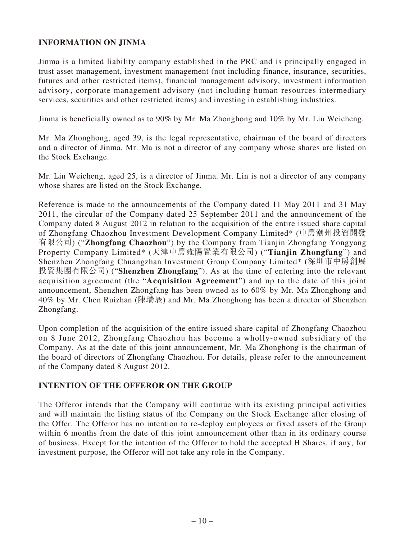## **INFORMATION ON JINMA**

Jinma is a limited liability company established in the PRC and is principally engaged in trust asset management, investment management (not including finance, insurance, securities, futures and other restricted items), financial management advisory, investment information advisory, corporate management advisory (not including human resources intermediary services, securities and other restricted items) and investing in establishing industries.

Jinma is beneficially owned as to 90% by Mr. Ma Zhonghong and 10% by Mr. Lin Weicheng.

Mr. Ma Zhonghong, aged 39, is the legal representative, chairman of the board of directors and a director of Jinma. Mr. Ma is not a director of any company whose shares are listed on the Stock Exchange.

Mr. Lin Weicheng, aged 25, is a director of Jinma. Mr. Lin is not a director of any company whose shares are listed on the Stock Exchange.

Reference is made to the announcements of the Company dated 11 May 2011 and 31 May 2011, the circular of the Company dated 25 September 2011 and the announcement of the Company dated 8 August 2012 in relation to the acquisition of the entire issued share capital of Zhongfang Chaozhou Investment Development Company Limited\* (中房潮州投資開發 有限公司) ("**Zhongfang Chaozhou**") by the Company from Tianjin Zhongfang Yongyang Property Company Limited\* (天津中房雍陽置業有限公司) ("**Tianjin Zhongfang**") and Shenzhen Zhongfang Chuangzhan Investment Group Company Limited\* (深圳市中房創展 投資集團有限公司) ("**Shenzhen Zhongfang**"). As at the time of entering into the relevant acquisition agreement (the "**Acquisition Agreement**") and up to the date of this joint announcement, Shenzhen Zhongfang has been owned as to 60% by Mr. Ma Zhonghong and 40% by Mr. Chen Ruizhan (陳瑞展) and Mr. Ma Zhonghong has been a director of Shenzhen Zhongfang.

Upon completion of the acquisition of the entire issued share capital of Zhongfang Chaozhou on 8 June 2012, Zhongfang Chaozhou has become a wholly-owned subsidiary of the Company. As at the date of this joint announcement, Mr. Ma Zhonghong is the chairman of the board of directors of Zhongfang Chaozhou. For details, please refer to the announcement of the Company dated 8 August 2012.

## **INTENTION OF THE OFFEROR ON THE GROUP**

The Offeror intends that the Company will continue with its existing principal activities and will maintain the listing status of the Company on the Stock Exchange after closing of the Offer. The Offeror has no intention to re-deploy employees or fixed assets of the Group within 6 months from the date of this joint announcement other than in its ordinary course of business. Except for the intention of the Offeror to hold the accepted H Shares, if any, for investment purpose, the Offeror will not take any role in the Company.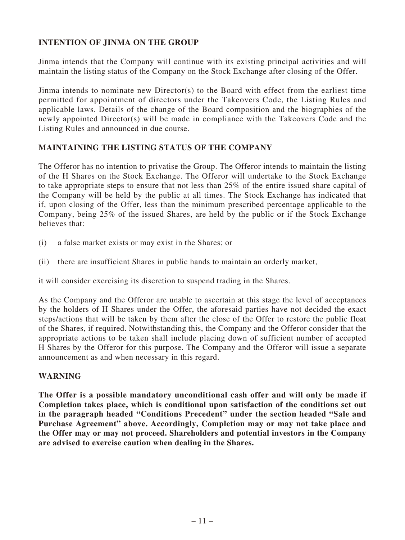## **INTENTION OF JINMA ON THE GROUP**

Jinma intends that the Company will continue with its existing principal activities and will maintain the listing status of the Company on the Stock Exchange after closing of the Offer.

Jinma intends to nominate new Director(s) to the Board with effect from the earliest time permitted for appointment of directors under the Takeovers Code, the Listing Rules and applicable laws. Details of the change of the Board composition and the biographies of the newly appointed Director(s) will be made in compliance with the Takeovers Code and the Listing Rules and announced in due course.

## **MAINTAINING THE LISTING STATUS OF THE COMPANY**

The Offeror has no intention to privatise the Group. The Offeror intends to maintain the listing of the H Shares on the Stock Exchange. The Offeror will undertake to the Stock Exchange to take appropriate steps to ensure that not less than 25% of the entire issued share capital of the Company will be held by the public at all times. The Stock Exchange has indicated that if, upon closing of the Offer, less than the minimum prescribed percentage applicable to the Company, being 25% of the issued Shares, are held by the public or if the Stock Exchange believes that:

- (i) a false market exists or may exist in the Shares; or
- (ii) there are insufficient Shares in public hands to maintain an orderly market,

it will consider exercising its discretion to suspend trading in the Shares.

As the Company and the Offeror are unable to ascertain at this stage the level of acceptances by the holders of H Shares under the Offer, the aforesaid parties have not decided the exact steps/actions that will be taken by them after the close of the Offer to restore the public float of the Shares, if required. Notwithstanding this, the Company and the Offeror consider that the appropriate actions to be taken shall include placing down of sufficient number of accepted H Shares by the Offeror for this purpose. The Company and the Offeror will issue a separate announcement as and when necessary in this regard.

## **WARNING**

**The Offer is a possible mandatory unconditional cash offer and will only be made if Completion takes place, which is conditional upon satisfaction of the conditions set out in the paragraph headed "Conditions Precedent" under the section headed "Sale and Purchase Agreement" above. Accordingly, Completion may or may not take place and the Offer may or may not proceed. Shareholders and potential investors in the Company are advised to exercise caution when dealing in the Shares.**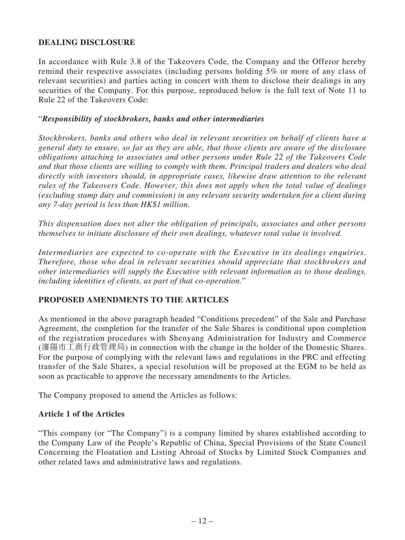## **DEALING DISCLOSURE**

In accordance with Rule 3.8 of the Takeovers Code, the Company and the Offeror hereby remind their respective associates (including persons holding 5% or more of any class of relevant securities) and parties acting in concert with them to disclose their dealings in any securities of the Company. For this purpose, reproduced below is the full text of Note 11 to Rule 22 of the Takeovers Code:

#### "*Responsibility of stockbrokers, banks and other intermediaries*

*Stockbrokers, banks and others who deal in relevant securities on behalf of clients have a general duty to ensure, so far as they are able, that those clients are aware of the disclosure obligations attaching to associates and other persons under Rule 22 of the Takeovers Code and that those clients are willing to comply with them. Principal traders and dealers who deal directly with investors should, in appropriate cases, likewise draw attention to the relevant rules of the Takeovers Code. However, this does not apply when the total value of dealings (excluding stamp duty and commission) in any relevant security undertaken for a client during any 7-day period is less than HK\$1 million.*

*This dispensation does not alter the obligation of principals, associates and other persons themselves to initiate disclosure of their own dealings, whatever total value is involved.*

*Intermediaries are expected to co-operate with the Executive in its dealings enquiries. Therefore, those who deal in relevant securities should appreciate that stockbrokers and other intermediaries will supply the Executive with relevant information as to those dealings, including identities of clients, as part of that co-operation.*"

## **PROPOSED AMENDMENTS TO THE ARTICLES**

As mentioned in the above paragraph headed "Conditions precedent" of the Sale and Purchase Agreement, the completion for the transfer of the Sale Shares is conditional upon completion of the registration procedures with Shenyang Administration for Industry and Commerce (瀋陽市工商行政管理局) in connection with the change in the holder of the Domestic Shares. For the purpose of complying with the relevant laws and regulations in the PRC and effecting transfer of the Sale Shares, a special resolution will be proposed at the EGM to be held as soon as practicable to approve the necessary amendments to the Articles.

The Company proposed to amend the Articles as follows:

## **Article 1 of the Articles**

"This company (or "The Company") is a company limited by shares established according to the Company Law of the People's Republic of China, Special Provisions of the State Council Concerning the Floatation and Listing Abroad of Stocks by Limited Stock Companies and other related laws and administrative laws and regulations.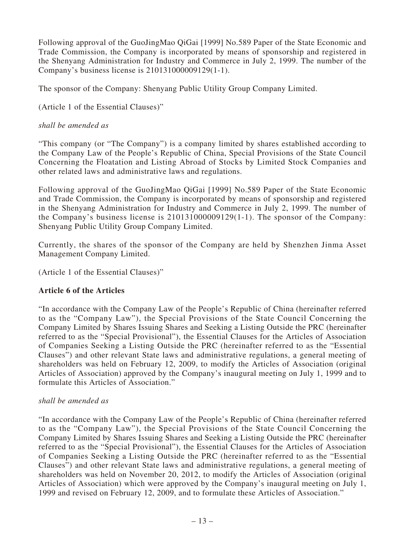Following approval of the GuoJingMao QiGai [1999] No.589 Paper of the State Economic and Trade Commission, the Company is incorporated by means of sponsorship and registered in the Shenyang Administration for Industry and Commerce in July 2, 1999. The number of the Company's business license is 210131000009129(1-1).

The sponsor of the Company: Shenyang Public Utility Group Company Limited.

(Article 1 of the Essential Clauses)"

#### *shall be amended as*

"This company (or "The Company") is a company limited by shares established according to the Company Law of the People's Republic of China, Special Provisions of the State Council Concerning the Floatation and Listing Abroad of Stocks by Limited Stock Companies and other related laws and administrative laws and regulations.

Following approval of the GuoJingMao QiGai [1999] No.589 Paper of the State Economic and Trade Commission, the Company is incorporated by means of sponsorship and registered in the Shenyang Administration for Industry and Commerce in July 2, 1999. The number of the Company's business license is 210131000009129(1-1). The sponsor of the Company: Shenyang Public Utility Group Company Limited.

Currently, the shares of the sponsor of the Company are held by Shenzhen Jinma Asset Management Company Limited.

(Article 1 of the Essential Clauses)"

## **Article 6 of the Articles**

"In accordance with the Company Law of the People's Republic of China (hereinafter referred to as the "Company Law"), the Special Provisions of the State Council Concerning the Company Limited by Shares Issuing Shares and Seeking a Listing Outside the PRC (hereinafter referred to as the "Special Provisional"), the Essential Clauses for the Articles of Association of Companies Seeking a Listing Outside the PRC (hereinafter referred to as the "Essential Clauses") and other relevant State laws and administrative regulations, a general meeting of shareholders was held on February 12, 2009, to modify the Articles of Association (original Articles of Association) approved by the Company's inaugural meeting on July 1, 1999 and to formulate this Articles of Association."

#### *shall be amended as*

"In accordance with the Company Law of the People's Republic of China (hereinafter referred to as the "Company Law"), the Special Provisions of the State Council Concerning the Company Limited by Shares Issuing Shares and Seeking a Listing Outside the PRC (hereinafter referred to as the "Special Provisional"), the Essential Clauses for the Articles of Association of Companies Seeking a Listing Outside the PRC (hereinafter referred to as the "Essential Clauses") and other relevant State laws and administrative regulations, a general meeting of shareholders was held on November 20, 2012, to modify the Articles of Association (original Articles of Association) which were approved by the Company's inaugural meeting on July 1, 1999 and revised on February 12, 2009, and to formulate these Articles of Association."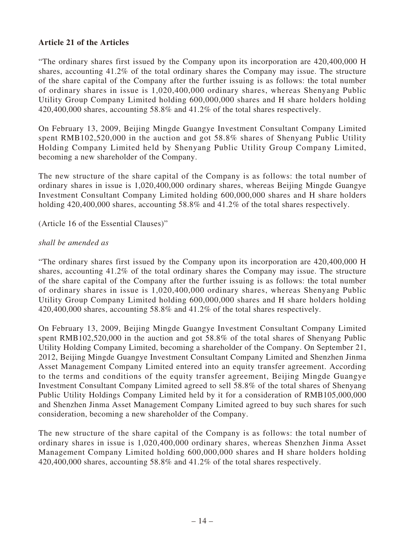## **Article 21 of the Articles**

"The ordinary shares first issued by the Company upon its incorporation are 420,400,000 H shares, accounting 41.2% of the total ordinary shares the Company may issue. The structure of the share capital of the Company after the further issuing is as follows: the total number of ordinary shares in issue is 1,020,400,000 ordinary shares, whereas Shenyang Public Utility Group Company Limited holding 600,000,000 shares and H share holders holding 420,400,000 shares, accounting 58.8% and 41.2% of the total shares respectively.

On February 13, 2009, Beijing Mingde Guangye Investment Consultant Company Limited spent RMB102,520,000 in the auction and got 58.8% shares of Shenyang Public Utility Holding Company Limited held by Shenyang Public Utility Group Company Limited, becoming a new shareholder of the Company.

The new structure of the share capital of the Company is as follows: the total number of ordinary shares in issue is 1,020,400,000 ordinary shares, whereas Beijing Mingde Guangye Investment Consultant Company Limited holding 600,000,000 shares and H share holders holding 420,400,000 shares, accounting 58.8% and 41.2% of the total shares respectively.

(Article 16 of the Essential Clauses)"

#### *shall be amended as*

"The ordinary shares first issued by the Company upon its incorporation are 420,400,000 H shares, accounting 41.2% of the total ordinary shares the Company may issue. The structure of the share capital of the Company after the further issuing is as follows: the total number of ordinary shares in issue is 1,020,400,000 ordinary shares, whereas Shenyang Public Utility Group Company Limited holding 600,000,000 shares and H share holders holding 420,400,000 shares, accounting 58.8% and 41.2% of the total shares respectively.

On February 13, 2009, Beijing Mingde Guangye Investment Consultant Company Limited spent RMB102,520,000 in the auction and got 58.8% of the total shares of Shenyang Public Utility Holding Company Limited, becoming a shareholder of the Company. On September 21, 2012, Beijing Mingde Guangye Investment Consultant Company Limited and Shenzhen Jinma Asset Management Company Limited entered into an equity transfer agreement. According to the terms and conditions of the equity transfer agreement, Beijing Mingde Guangye Investment Consultant Company Limited agreed to sell 58.8% of the total shares of Shenyang Public Utility Holdings Company Limited held by it for a consideration of RMB105,000,000 and Shenzhen Jinma Asset Management Company Limited agreed to buy such shares for such consideration, becoming a new shareholder of the Company.

The new structure of the share capital of the Company is as follows: the total number of ordinary shares in issue is 1,020,400,000 ordinary shares, whereas Shenzhen Jinma Asset Management Company Limited holding 600,000,000 shares and H share holders holding 420,400,000 shares, accounting 58.8% and 41.2% of the total shares respectively.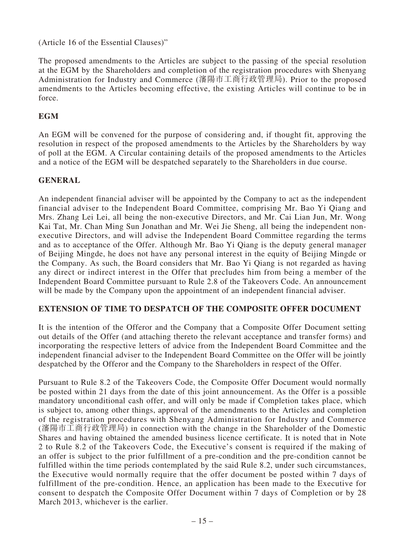(Article 16 of the Essential Clauses)"

The proposed amendments to the Articles are subject to the passing of the special resolution at the EGM by the Shareholders and completion of the registration procedures with Shenyang Administration for Industry and Commerce (瀋陽市工商行政管理局). Prior to the proposed amendments to the Articles becoming effective, the existing Articles will continue to be in force.

### **EGM**

An EGM will be convened for the purpose of considering and, if thought fit, approving the resolution in respect of the proposed amendments to the Articles by the Shareholders by way of poll at the EGM. A Circular containing details of the proposed amendments to the Articles and a notice of the EGM will be despatched separately to the Shareholders in due course.

#### **GENERAL**

An independent financial adviser will be appointed by the Company to act as the independent financial adviser to the Independent Board Committee, comprising Mr. Bao Yi Qiang and Mrs. Zhang Lei Lei, all being the non-executive Directors, and Mr. Cai Lian Jun, Mr. Wong Kai Tat, Mr. Chan Ming Sun Jonathan and Mr. Wei Jie Sheng, all being the independent nonexecutive Directors, and will advise the Independent Board Committee regarding the terms and as to acceptance of the Offer. Although Mr. Bao Yi Qiang is the deputy general manager of Beijing Mingde, he does not have any personal interest in the equity of Beijing Mingde or the Company. As such, the Board considers that Mr. Bao Yi Qiang is not regarded as having any direct or indirect interest in the Offer that precludes him from being a member of the Independent Board Committee pursuant to Rule 2.8 of the Takeovers Code. An announcement will be made by the Company upon the appointment of an independent financial adviser.

#### **EXTENSION OF TIME TO DESPATCH OF THE COMPOSITE OFFER DOCUMENT**

It is the intention of the Offeror and the Company that a Composite Offer Document setting out details of the Offer (and attaching thereto the relevant acceptance and transfer forms) and incorporating the respective letters of advice from the Independent Board Committee and the independent financial adviser to the Independent Board Committee on the Offer will be jointly despatched by the Offeror and the Company to the Shareholders in respect of the Offer.

Pursuant to Rule 8.2 of the Takeovers Code, the Composite Offer Document would normally be posted within 21 days from the date of this joint announcement. As the Offer is a possible mandatory unconditional cash offer, and will only be made if Completion takes place, which is subject to, among other things, approval of the amendments to the Articles and completion of the registration procedures with Shenyang Administration for Industry and Commerce (瀋陽市工商行政管理局) in connection with the change in the Shareholder of the Domestic Shares and having obtained the amended business licence certificate. It is noted that in Note 2 to Rule 8.2 of the Takeovers Code, the Executive's consent is required if the making of an offer is subject to the prior fulfillment of a pre-condition and the pre-condition cannot be fulfilled within the time periods contemplated by the said Rule 8.2, under such circumstances, the Executive would normally require that the offer document be posted within 7 days of fulfillment of the pre-condition. Hence, an application has been made to the Executive for consent to despatch the Composite Offer Document within 7 days of Completion or by 28 March 2013, whichever is the earlier.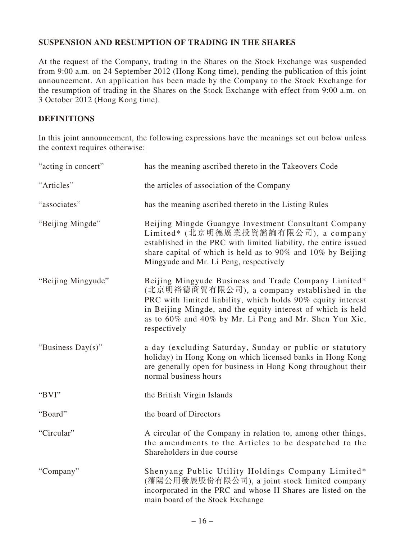## **SUSPENSION AND RESUMPTION OF TRADING IN THE SHARES**

At the request of the Company, trading in the Shares on the Stock Exchange was suspended from 9:00 a.m. on 24 September 2012 (Hong Kong time), pending the publication of this joint announcement. An application has been made by the Company to the Stock Exchange for the resumption of trading in the Shares on the Stock Exchange with effect from 9:00 a.m. on 3 October 2012 (Hong Kong time).

## **DEFINITIONS**

In this joint announcement, the following expressions have the meanings set out below unless the context requires otherwise:

| "acting in concert" | has the meaning ascribed thereto in the Takeovers Code                                                                                                                                                                                                                                                      |
|---------------------|-------------------------------------------------------------------------------------------------------------------------------------------------------------------------------------------------------------------------------------------------------------------------------------------------------------|
| "Articles"          | the articles of association of the Company                                                                                                                                                                                                                                                                  |
| "associates"        | has the meaning ascribed thereto in the Listing Rules                                                                                                                                                                                                                                                       |
| "Beijing Mingde"    | Beijing Mingde Guangye Investment Consultant Company<br>Limited* (北京明德廣業投資諮詢有限公司), a company<br>established in the PRC with limited liability, the entire issued<br>share capital of which is held as to 90% and 10% by Beijing<br>Mingyude and Mr. Li Peng, respectively                                   |
| "Beijing Mingyude"  | Beijing Mingyude Business and Trade Company Limited*<br>(北京明裕德商貿有限公司), a company established in the<br>PRC with limited liability, which holds 90% equity interest<br>in Beijing Mingde, and the equity interest of which is held<br>as to 60% and 40% by Mr. Li Peng and Mr. Shen Yun Xie,<br>respectively |
| "Business Day(s)"   | a day (excluding Saturday, Sunday or public or statutory<br>holiday) in Hong Kong on which licensed banks in Hong Kong<br>are generally open for business in Hong Kong throughout their<br>normal business hours                                                                                            |
| "BVI"               | the British Virgin Islands                                                                                                                                                                                                                                                                                  |
| "Board"             | the board of Directors                                                                                                                                                                                                                                                                                      |
| "Circular"          | A circular of the Company in relation to, among other things,<br>the amendments to the Articles to be despatched to the<br>Shareholders in due course                                                                                                                                                       |
| "Company"           | Shenyang Public Utility Holdings Company Limited*<br>(瀋陽公用發展股份有限公司), a joint stock limited company<br>incorporated in the PRC and whose H Shares are listed on the<br>main board of the Stock Exchange                                                                                                      |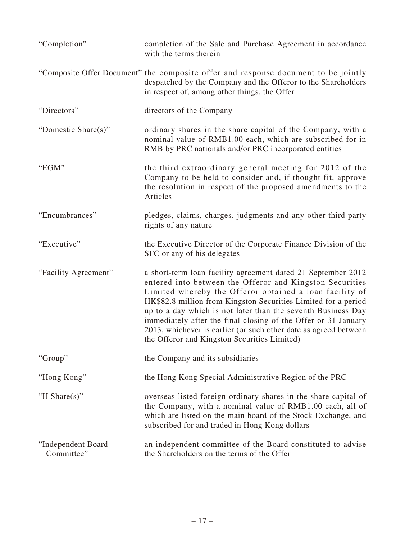| "Completion"                     | completion of the Sale and Purchase Agreement in accordance<br>with the terms therein                                                                                                                                                                                                                                                                                                                                                                                                                       |
|----------------------------------|-------------------------------------------------------------------------------------------------------------------------------------------------------------------------------------------------------------------------------------------------------------------------------------------------------------------------------------------------------------------------------------------------------------------------------------------------------------------------------------------------------------|
|                                  | "Composite Offer Document" the composite offer and response document to be jointly<br>despatched by the Company and the Offeror to the Shareholders<br>in respect of, among other things, the Offer                                                                                                                                                                                                                                                                                                         |
| "Directors"                      | directors of the Company                                                                                                                                                                                                                                                                                                                                                                                                                                                                                    |
| "Domestic Share(s)"              | ordinary shares in the share capital of the Company, with a<br>nominal value of RMB1.00 each, which are subscribed for in<br>RMB by PRC nationals and/or PRC incorporated entities                                                                                                                                                                                                                                                                                                                          |
| "EGM"                            | the third extraordinary general meeting for 2012 of the<br>Company to be held to consider and, if thought fit, approve<br>the resolution in respect of the proposed amendments to the<br>Articles                                                                                                                                                                                                                                                                                                           |
| "Encumbrances"                   | pledges, claims, charges, judgments and any other third party<br>rights of any nature                                                                                                                                                                                                                                                                                                                                                                                                                       |
| "Executive"                      | the Executive Director of the Corporate Finance Division of the<br>SFC or any of his delegates                                                                                                                                                                                                                                                                                                                                                                                                              |
| "Facility Agreement"             | a short-term loan facility agreement dated 21 September 2012<br>entered into between the Offeror and Kingston Securities<br>Limited whereby the Offeror obtained a loan facility of<br>HK\$82.8 million from Kingston Securities Limited for a period<br>up to a day which is not later than the seventh Business Day<br>immediately after the final closing of the Offer or 31 January<br>2013, whichever is earlier (or such other date as agreed between<br>the Offeror and Kingston Securities Limited) |
| "Group"                          | the Company and its subsidiaries                                                                                                                                                                                                                                                                                                                                                                                                                                                                            |
| "Hong Kong"                      | the Hong Kong Special Administrative Region of the PRC                                                                                                                                                                                                                                                                                                                                                                                                                                                      |
| "H Share $(s)$ "                 | overseas listed foreign ordinary shares in the share capital of<br>the Company, with a nominal value of RMB1.00 each, all of<br>which are listed on the main board of the Stock Exchange, and<br>subscribed for and traded in Hong Kong dollars                                                                                                                                                                                                                                                             |
| "Independent Board<br>Committee" | an independent committee of the Board constituted to advise<br>the Shareholders on the terms of the Offer                                                                                                                                                                                                                                                                                                                                                                                                   |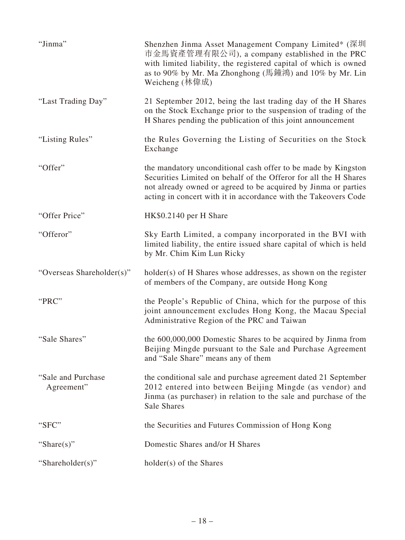| "Jinma"                           | Shenzhen Jinma Asset Management Company Limited* (深圳<br>市金馬資產管理有限公司), a company established in the PRC<br>with limited liability, the registered capital of which is owned<br>as to 90% by Mr. Ma Zhonghong (馬鐘鴻) and 10% by Mr. Lin<br>Weicheng (林偉成)                 |
|-----------------------------------|------------------------------------------------------------------------------------------------------------------------------------------------------------------------------------------------------------------------------------------------------------------------|
| "Last Trading Day"                | 21 September 2012, being the last trading day of the H Shares<br>on the Stock Exchange prior to the suspension of trading of the<br>H Shares pending the publication of this joint announcement                                                                        |
| "Listing Rules"                   | the Rules Governing the Listing of Securities on the Stock<br>Exchange                                                                                                                                                                                                 |
| "Offer"                           | the mandatory unconditional cash offer to be made by Kingston<br>Securities Limited on behalf of the Offeror for all the H Shares<br>not already owned or agreed to be acquired by Jinma or parties<br>acting in concert with it in accordance with the Takeovers Code |
| "Offer Price"                     | HK\$0.2140 per H Share                                                                                                                                                                                                                                                 |
| "Offeror"                         | Sky Earth Limited, a company incorporated in the BVI with<br>limited liability, the entire issued share capital of which is held<br>by Mr. Chim Kim Lun Ricky                                                                                                          |
| "Overseas Shareholder(s)"         | holder(s) of H Shares whose addresses, as shown on the register<br>of members of the Company, are outside Hong Kong                                                                                                                                                    |
| "PRC"                             | the People's Republic of China, which for the purpose of this<br>joint announcement excludes Hong Kong, the Macau Special<br>Administrative Region of the PRC and Taiwan                                                                                               |
| "Sale Shares"                     | the 600,000,000 Domestic Shares to be acquired by Jinma from<br>Beijing Mingde pursuant to the Sale and Purchase Agreement<br>and "Sale Share" means any of them                                                                                                       |
| "Sale and Purchase"<br>Agreement" | the conditional sale and purchase agreement dated 21 September<br>2012 entered into between Beijing Mingde (as vendor) and<br>Jinma (as purchaser) in relation to the sale and purchase of the<br>Sale Shares                                                          |
| "SFC"                             | the Securities and Futures Commission of Hong Kong                                                                                                                                                                                                                     |
| "Share $(s)$ "                    | Domestic Shares and/or H Shares                                                                                                                                                                                                                                        |
| "Shareholder(s)"                  | holder(s) of the Shares                                                                                                                                                                                                                                                |